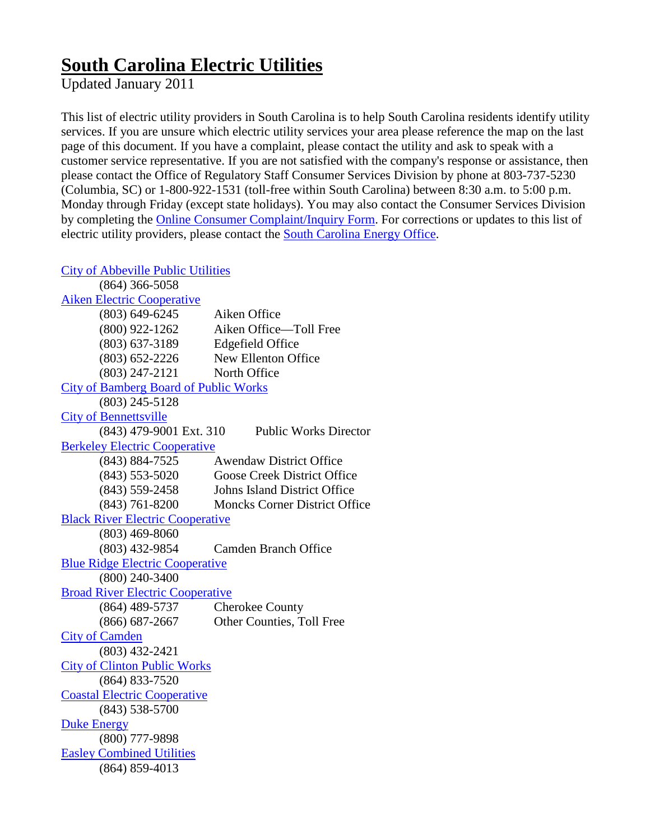## **South Carolina Electric Utilities**

Updated January 2011

This list of electric utility providers in South Carolina is to help South Carolina residents identify utility services. If you are unsure which electric utility services your area please reference the map on the last page of this document. If you have a complaint, please contact the utility and ask to speak with a customer service representative. If you are not satisfied with the company's response or assistance, then please contact the Office of Regulatory Staff Consumer Services Division by phone at 803-737-5230 (Columbia, SC) or 1-800-922-1531 (toll-free within South Carolina) between 8:30 a.m. to 5:00 p.m. Monday through Friday (except state holidays). You may also contact the Consumer Services Division by completing the [Online Consumer Complaint/Inquiry Form.](http://www.regulatorystaff.sc.gov/ORSContent.asp?pageID=616) For corrections or updates to this list of electric utility providers, please contact the [South Carolina Energy Office.](mailto:aberger@energy.sc.gov)

[City of Abbeville Public Utilities](http://www.abbevilleutilities.com/location) 

| $(864)$ 366-5058                             |                                      |
|----------------------------------------------|--------------------------------------|
| <b>Aiken Electric Cooperative</b>            |                                      |
| $(803) 649 - 6245$                           | Aiken Office                         |
| $(800)$ 922-1262                             | Aiken Office-Toll Free               |
| $(803) 637 - 3189$                           | <b>Edgefield Office</b>              |
| $(803) 652 - 2226$                           | New Ellenton Office                  |
| $(803)$ 247-2121                             | North Office                         |
| <b>City of Bamberg Board of Public Works</b> |                                      |
| $(803)$ 245-5128                             |                                      |
| <b>City of Bennettsville</b>                 |                                      |
| (843) 479-9001 Ext. 310                      | <b>Public Works Director</b>         |
| <b>Berkeley Electric Cooperative</b>         |                                      |
| $(843) 884 - 7525$                           | <b>Awendaw District Office</b>       |
| $(843)$ 553-5020                             | <b>Goose Creek District Office</b>   |
| $(843)$ 559-2458                             | <b>Johns Island District Office</b>  |
| $(843) 761 - 8200$                           | <b>Moncks Corner District Office</b> |
| <b>Black River Electric Cooperative</b>      |                                      |
| $(803)$ 469-8060                             |                                      |
| $(803)$ 432-9854                             | <b>Camden Branch Office</b>          |
| <b>Blue Ridge Electric Cooperative</b>       |                                      |
| $(800)$ 240-3400                             |                                      |
| <b>Broad River Electric Cooperative</b>      |                                      |
| (864) 489-5737                               | Cherokee County                      |
| $(866) 687 - 2667$                           | Other Counties, Toll Free            |
| <b>City of Camden</b>                        |                                      |
| $(803)$ 432-2421                             |                                      |
| <b>City of Clinton Public Works</b>          |                                      |
| $(864) 833 - 7520$                           |                                      |
| <b>Coastal Electric Cooperative</b>          |                                      |
| $(843)$ 538-5700                             |                                      |
| <b>Duke Energy</b>                           |                                      |
| $(800)$ 777-9898                             |                                      |
| <b>Easley Combined Utilities</b>             |                                      |
| $(864) 859 - 4013$                           |                                      |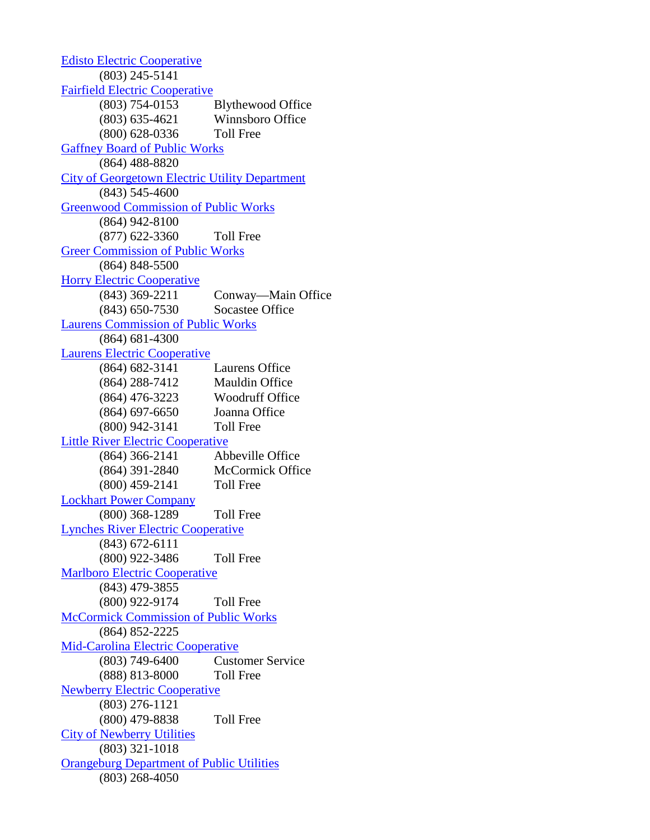[Edisto Electric Cooperative](http://www.edistoelectric.net/contact.htm) (803) 245-5141 [Fairfield Electric Cooperative](http://www.fairfield.coop/) (803) 754-0153 Blythewood Office (803) 635-4621 Winnsboro Office (800) 628-0336 Toll Free [Gaffney Board of Public Works](http://www.gbpw.com/custserv.aspx) (864) 488-8820 [City of Georgetown Electric Utility Department](http://cogsc.com/Electric/Electric.cfm) (843) 545-4600 [Greenwood Commission of Public Works](http://www.greenwoodcpw.com/contact.html) (864) 942-8100 (877) 622-3360 Toll Free [Greer Commission of Public Works](http://www.greercpw.com/?page_id=100) (864) 848-5500 [Horry Electric Cooperative](http://www.horryelectric.com/contact.aspx) (843) 369-2211 Conway—Main Office (843) 650-7530 Socastee Office [Laurens Commission of Public Works](http://www.lcpw.com/) (864) 681-4300 [Laurens Electric Cooperative](http://www.laurenselectric.com/howContact.html) (864) 682-3141 Laurens Office (864) 288-7412 Mauldin Office (864) 476-3223 Woodruff Office (864) 697-6650 Joanna Office (800) 942-3141 Toll Free [Little River Electric Cooperative](http://www.littleriverelectric.com/) (864) 366-2141 Abbeville Office (864) 391-2840 McCormick Office (800) 459-2141 Toll Free [Lockhart Power Company](http://www.lockhartpower.com/) (800) 368-1289 Toll Free [Lynches River Electric Cooperative](http://www.lynchesriver.com/) (843) 672-6111 (800) 922-3486 Toll Free [Marlboro Electric Cooperative](http://www.marlboroelectric.net/) (843) 479-3855 (800) 922-9174 Toll Free [McCormick Commission of Public Works](http://www.townofmccormicksc.org/index.php?option=com_content&view=article&id=13&Itemid=52) (864) 852-2225 [Mid-Carolina Electric Cooperative](http://www.mcecoop.com/) (803) 749-6400 Customer Service (888) 813-8000 Toll Free [Newberry Electric Cooperative](http://www.nec.coop/article.aspx?categID=3&articleID=675) (803) 276-1121 (800) 479-8838 Toll Free [City of Newberry Utilities](http://www.cityofnewberry.com/index.php?option=com_contact&catid=22&Itemid=3) (803) 321-1018 [Orangeburg Department of Public Utilities](http://www.orbgdpu.com/contact.htm) (803) 268-4050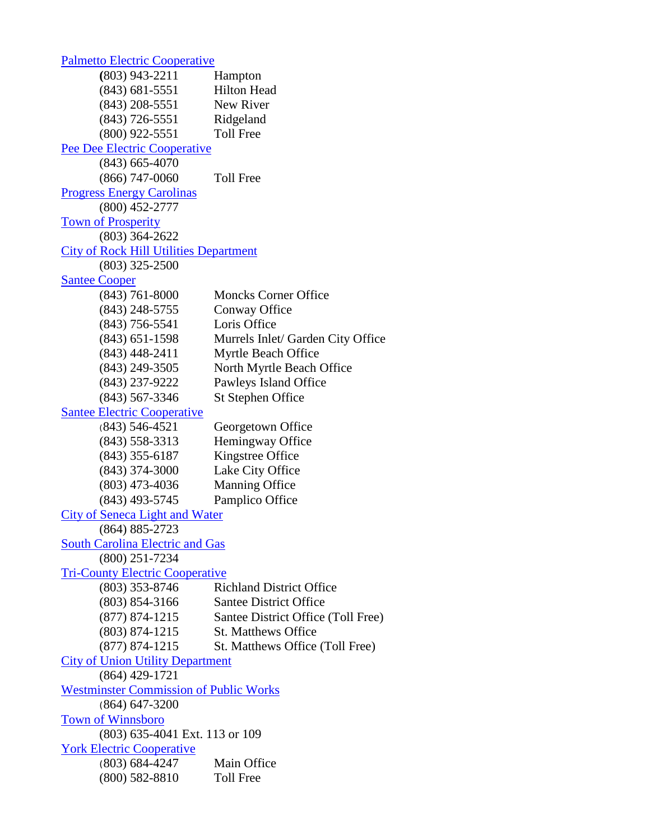[Palmetto Electric Cooperative](http://www.palelec.com/contact/index.cfm) **(**803) 943-2211 Hampton (843) 681-5551 Hilton Head (843) 208-5551 New River (843) 726-5551 Ridgeland (800) 922-5551 Toll Free [Pee Dee Electric Cooperative](http://www.peedeeelectric.com/subcontent.asp?id=41015194046pnjrnjptm) (843) 665-4070 (866) 747-0060 Toll Free [Progress Energy Carolinas](http://www.progress-energy.com/shared/contactus/carolinas.asp) (800) 452-2777 [Town of Prosperity](http://www.prosperitysc.com/page/townutils) (803) 364-2622 [City of Rock Hill Utilities Department](http://www.ci.rock-hill.sc.us/dynSubPage.aspx?deptID=19&pLinkID=0) (803) 325-2500 [Santee Cooper](http://www.santeecooper.com/customerservice/offices/index.html) (843) 761-8000 Moncks Corner Office (843) 248-5755 Conway Office (843) 756-5541 Loris Office (843) 651-1598 Murrels Inlet/ Garden City Office (843) 448-2411 Myrtle Beach Office (843) 249-3505 North Myrtle Beach Office (843) 237-9222 Pawleys Island Office (843) 567-3346 St Stephen Office [Santee Electric Cooperative](http://www.santee.org/about/contact.aspx) (843) 546-4521 Georgetown Office (843) 558-3313 Hemingway Office (843) 355-6187 Kingstree Office (843) 374-3000 Lake City Office (803) 473-4036 Manning Office (843) 493-5745 Pamplico Office [City of Seneca Light and Water](http://www.seneca.sc.us/Departments/LightWater.aspx) (864) 885-2723 [South Carolina Electric and Gas](http://www.sceg.com/en/) (800) 251-7234 [Tri-County Electric Cooperative](http://tri-countyelectric.net/index.php?option=com_content&view=article&id=10&Itemid=10) (803) 353-8746 Richland District Office (803) 854-3166 Santee District Office (877) 874-1215 Santee District Office (Toll Free) (803) 874-1215 St. Matthews Office (877) 874-1215 St. Matthews Office (Toll Free) [City of Union Utility Department](http://www.cityofunion.net/site/cpage.asp?cpage_id=140016447&sec_id=140005136) (864) 429-1721 [Westminster Commission of Public Works](http://www.westminstersc.com/city.htm) (864) 647-3200 [Town of Winnsboro](http://www.downtownwinnsboro.com/government.html) (803) 635-4041 Ext. 113 or 109 [York Electric Cooperative](https://www.yorkelectric.net/cgi/forms/forms.cgi?form=8) (803) 684-4247 Main Office (800) 582-8810 Toll Free